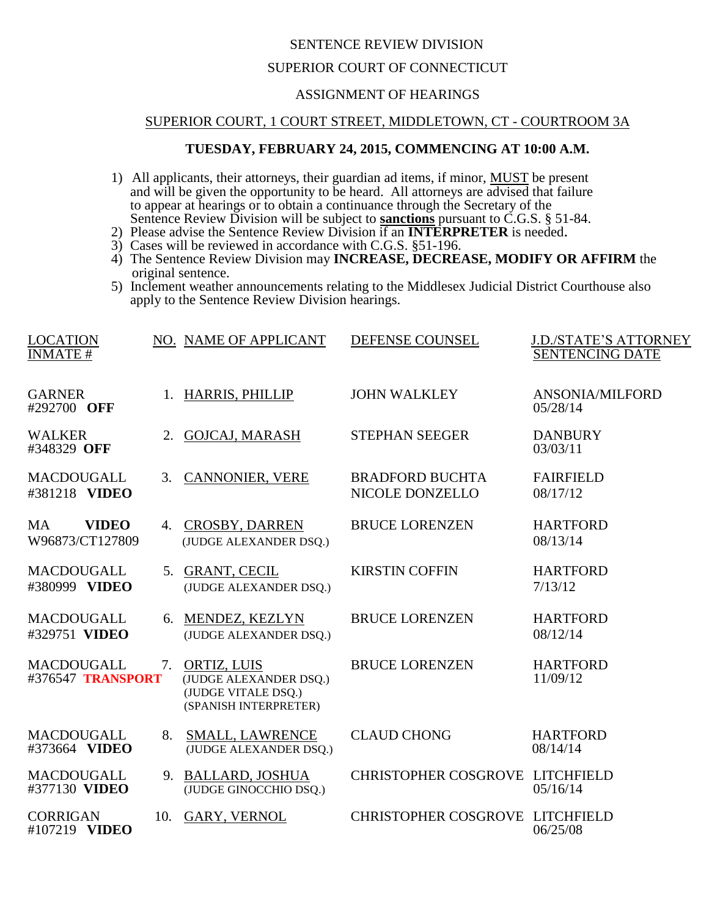## SENTENCE REVIEW DIVISION

### SUPERIOR COURT OF CONNECTICUT

### ASSIGNMENT OF HEARINGS

#### SUPERIOR COURT, 1 COURT STREET, MIDDLETOWN, CT - COURTROOM 3A

# **TUESDAY, FEBRUARY 24, 2015, COMMENCING AT 10:00 A.M.**

- 1) All applicants, their attorneys, their guardian ad items, if minor, MUST be present and will be given the opportunity to be heard. All attorneys are advised that failure to appear at hearings or to obtain a continuance through the Secretary of the Sentence Review Division will be subject to **sanctions** pursuant to C.G.S. § 51-84.
- 2) Please advise the Sentence Review Division if an **INTERPRETER** is needed.
- 3) Cases will be reviewed in accordance with C.G.S. §51-196.
- 4) The Sentence Review Division may **INCREASE, DECREASE, MODIFY OR AFFIRM** the original sentence.
- 5) Inclement weather announcements relating to the Middlesex Judicial District Courthouse also apply to the Sentence Review Division hearings.

| <b>LOCATION</b><br><b>INMATE#</b>            |     | NO. NAME OF APPLICANT                                                                 | DEFENSE COUNSEL                           | <b>J.D./STATE'S ATTORNEY</b><br><b>SENTENCING DATE</b> |
|----------------------------------------------|-----|---------------------------------------------------------------------------------------|-------------------------------------------|--------------------------------------------------------|
| <b>GARNER</b><br>#292700 OFF                 |     | 1. HARRIS, PHILLIP                                                                    | <b>JOHN WALKLEY</b>                       | ANSONIA/MILFORD<br>05/28/14                            |
| <b>WALKER</b><br>#348329 OFF                 | 2.  | <b>GOJCAJ, MARASH</b>                                                                 | <b>STEPHAN SEEGER</b>                     | <b>DANBURY</b><br>03/03/11                             |
| <b>MACDOUGALL</b><br>#381218 VIDEO           | 3.  | <b>CANNONIER, VERE</b>                                                                | <b>BRADFORD BUCHTA</b><br>NICOLE DONZELLO | <b>FAIRFIELD</b><br>08/17/12                           |
| <b>VIDEO</b><br><b>MA</b><br>W96873/CT127809 | 4.  | <b>CROSBY, DARREN</b><br>(JUDGE ALEXANDER DSQ.)                                       | <b>BRUCE LORENZEN</b>                     | <b>HARTFORD</b><br>08/13/14                            |
| <b>MACDOUGALL</b><br>#380999 VIDEO           | 5.  | <b>GRANT, CECIL</b><br>(JUDGE ALEXANDER DSQ.)                                         | <b>KIRSTIN COFFIN</b>                     | <b>HARTFORD</b><br>7/13/12                             |
| <b>MACDOUGALL</b><br>#329751 VIDEO           | 6.  | MENDEZ, KEZLYN<br>(JUDGE ALEXANDER DSO.)                                              | <b>BRUCE LORENZEN</b>                     | <b>HARTFORD</b><br>08/12/14                            |
| <b>MACDOUGALL</b><br>#376547 TRANSPORT       | 7.  | ORTIZ, LUIS<br>(JUDGE ALEXANDER DSQ.)<br>(JUDGE VITALE DSQ.)<br>(SPANISH INTERPRETER) | <b>BRUCE LORENZEN</b>                     | <b>HARTFORD</b><br>11/09/12                            |
| <b>MACDOUGALL</b><br>#373664 VIDEO           | 8.  | <b>SMALL, LAWRENCE</b><br>(JUDGE ALEXANDER DSQ.)                                      | <b>CLAUD CHONG</b>                        | <b>HARTFORD</b><br>08/14/14                            |
| <b>MACDOUGALL</b><br>#377130 VIDEO           |     | 9. BALLARD, JOSHUA<br>(JUDGE GINOCCHIO DSQ.)                                          | CHRISTOPHER COSGROVE LITCHFIELD           | 05/16/14                                               |
| <b>CORRIGAN</b><br>#107219 VIDEO             | 10. | <b>GARY, VERNOL</b>                                                                   | CHRISTOPHER COSGROVE LITCHFIELD           | 06/25/08                                               |